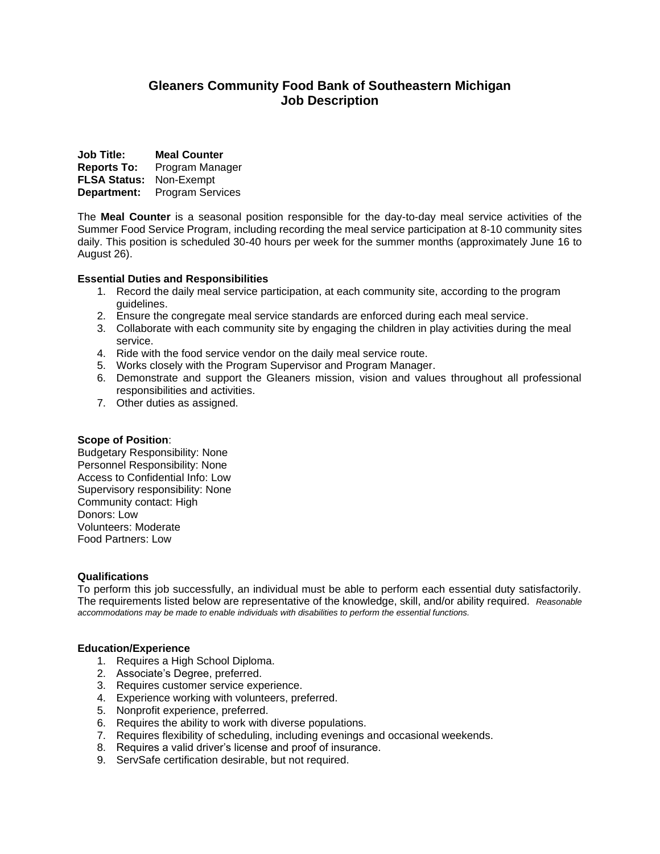# **Gleaners Community Food Bank of Southeastern Michigan Job Description**

**Job Title: Meal Counter Reports To:** Program Manager **FLSA Status:** Non-Exempt **Department:** Program Services

The **Meal Counter** is a seasonal position responsible for the day-to-day meal service activities of the Summer Food Service Program, including recording the meal service participation at 8-10 community sites daily. This position is scheduled 30-40 hours per week for the summer months (approximately June 16 to August 26).

# **Essential Duties and Responsibilities**

- 1. Record the daily meal service participation, at each community site, according to the program guidelines.
- 2. Ensure the congregate meal service standards are enforced during each meal service.
- 3. Collaborate with each community site by engaging the children in play activities during the meal service.
- 4. Ride with the food service vendor on the daily meal service route.
- 5. Works closely with the Program Supervisor and Program Manager.
- 6. Demonstrate and support the Gleaners mission, vision and values throughout all professional responsibilities and activities.
- 7. Other duties as assigned.

# **Scope of Position**:

Budgetary Responsibility: None Personnel Responsibility: None Access to Confidential Info: Low Supervisory responsibility: None Community contact: High Donors: Low Volunteers: Moderate Food Partners: Low

# **Qualifications**

To perform this job successfully, an individual must be able to perform each essential duty satisfactorily. The requirements listed below are representative of the knowledge, skill, and/or ability required. *Reasonable accommodations may be made to enable individuals with disabilities to perform the essential functions.*

# **Education/Experience**

- 1. Requires a High School Diploma.
- 2. Associate's Degree, preferred.
- 3. Requires customer service experience.
- 4. Experience working with volunteers, preferred.
- 5. Nonprofit experience, preferred.
- 6. Requires the ability to work with diverse populations.
- 7. Requires flexibility of scheduling, including evenings and occasional weekends.
- 8. Requires a valid driver's license and proof of insurance.
- 9. ServSafe certification desirable, but not required.